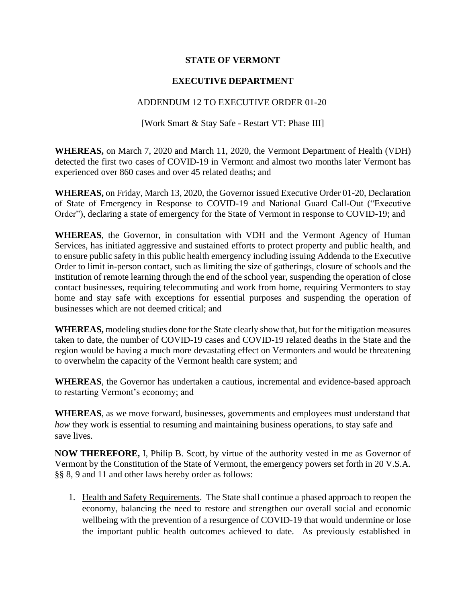## **STATE OF VERMONT**

## **EXECUTIVE DEPARTMENT**

## ADDENDUM 12 TO EXECUTIVE ORDER 01-20

[Work Smart & Stay Safe - Restart VT: Phase III]

**WHEREAS,** on March 7, 2020 and March 11, 2020, the Vermont Department of Health (VDH) detected the first two cases of COVID-19 in Vermont and almost two months later Vermont has experienced over 860 cases and over 45 related deaths; and

**WHEREAS,** on Friday, March 13, 2020, the Governor issued Executive Order 01-20, Declaration of State of Emergency in Response to COVID-19 and National Guard Call-Out ("Executive Order"), declaring a state of emergency for the State of Vermont in response to COVID-19; and

**WHEREAS**, the Governor, in consultation with VDH and the Vermont Agency of Human Services, has initiated aggressive and sustained efforts to protect property and public health, and to ensure public safety in this public health emergency including issuing Addenda to the Executive Order to limit in-person contact, such as limiting the size of gatherings, closure of schools and the institution of remote learning through the end of the school year, suspending the operation of close contact businesses, requiring telecommuting and work from home, requiring Vermonters to stay home and stay safe with exceptions for essential purposes and suspending the operation of businesses which are not deemed critical; and

**WHEREAS,** modeling studies done for the State clearly show that, but for the mitigation measures taken to date, the number of COVID-19 cases and COVID-19 related deaths in the State and the region would be having a much more devastating effect on Vermonters and would be threatening to overwhelm the capacity of the Vermont health care system; and

**WHEREAS**, the Governor has undertaken a cautious, incremental and evidence-based approach to restarting Vermont's economy; and

**WHEREAS**, as we move forward, businesses, governments and employees must understand that *how* they work is essential to resuming and maintaining business operations, to stay safe and save lives.

**NOW THEREFORE,** I, Philip B. Scott, by virtue of the authority vested in me as Governor of Vermont by the Constitution of the State of Vermont, the emergency powers set forth in 20 V.S.A. §§ 8, 9 and 11 and other laws hereby order as follows:

1. Health and Safety Requirements. The State shall continue a phased approach to reopen the economy, balancing the need to restore and strengthen our overall social and economic wellbeing with the prevention of a resurgence of COVID-19 that would undermine or lose the important public health outcomes achieved to date. As previously established in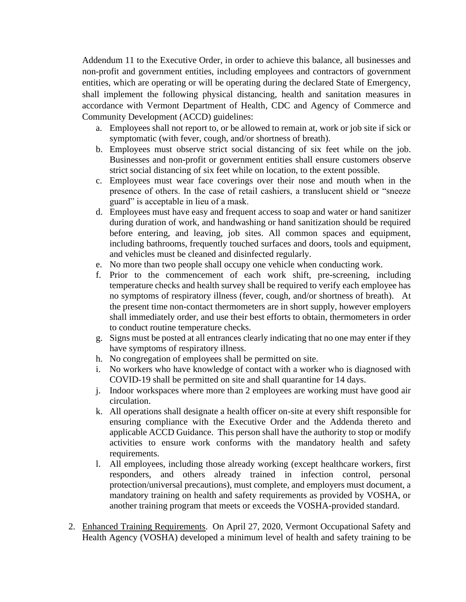Addendum 11 to the Executive Order, in order to achieve this balance, all businesses and non-profit and government entities, including employees and contractors of government entities, which are operating or will be operating during the declared State of Emergency, shall implement the following physical distancing, health and sanitation measures in accordance with Vermont Department of Health, CDC and Agency of Commerce and Community Development (ACCD) guidelines:

- a. Employees shall not report to, or be allowed to remain at, work or job site if sick or symptomatic (with fever, cough, and/or shortness of breath).
- b. Employees must observe strict social distancing of six feet while on the job. Businesses and non-profit or government entities shall ensure customers observe strict social distancing of six feet while on location, to the extent possible.
- c. Employees must wear face coverings over their nose and mouth when in the presence of others. In the case of retail cashiers, a translucent shield or "sneeze guard" is acceptable in lieu of a mask.
- d. Employees must have easy and frequent access to soap and water or hand sanitizer during duration of work, and handwashing or hand sanitization should be required before entering, and leaving, job sites. All common spaces and equipment, including bathrooms, frequently touched surfaces and doors, tools and equipment, and vehicles must be cleaned and disinfected regularly.
- e. No more than two people shall occupy one vehicle when conducting work.
- f. Prior to the commencement of each work shift, pre-screening, including temperature checks and health survey shall be required to verify each employee has no symptoms of respiratory illness (fever, cough, and/or shortness of breath). At the present time non-contact thermometers are in short supply, however employers shall immediately order, and use their best efforts to obtain, thermometers in order to conduct routine temperature checks.
- g. Signs must be posted at all entrances clearly indicating that no one may enter if they have symptoms of respiratory illness.
- h. No congregation of employees shall be permitted on site.
- i. No workers who have knowledge of contact with a worker who is diagnosed with COVID-19 shall be permitted on site and shall quarantine for 14 days.
- j. Indoor workspaces where more than 2 employees are working must have good air circulation.
- k. All operations shall designate a health officer on-site at every shift responsible for ensuring compliance with the Executive Order and the Addenda thereto and applicable ACCD Guidance. This person shall have the authority to stop or modify activities to ensure work conforms with the mandatory health and safety requirements.
- l. All employees, including those already working (except healthcare workers, first responders, and others already trained in infection control, personal protection/universal precautions), must complete, and employers must document, a mandatory training on health and safety requirements as provided by VOSHA, or another training program that meets or exceeds the VOSHA-provided standard.
- 2. Enhanced Training Requirements. On April 27, 2020, Vermont Occupational Safety and Health Agency (VOSHA) developed a minimum level of health and safety training to be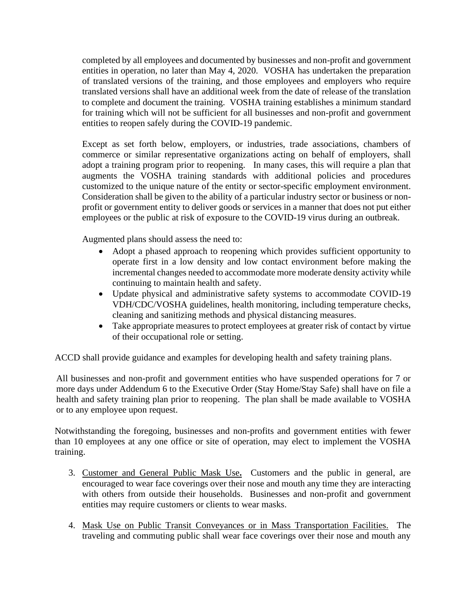completed by all employees and documented by businesses and non-profit and government entities in operation, no later than May 4, 2020. VOSHA has undertaken the preparation of translated versions of the training, and those employees and employers who require translated versions shall have an additional week from the date of release of the translation to complete and document the training. VOSHA training establishes a minimum standard for training which will not be sufficient for all businesses and non-profit and government entities to reopen safely during the COVID-19 pandemic.

Except as set forth below, employers, or industries, trade associations, chambers of commerce or similar representative organizations acting on behalf of employers, shall adopt a training program prior to reopening. In many cases, this will require a plan that augments the VOSHA training standards with additional policies and procedures customized to the unique nature of the entity or sector-specific employment environment. Consideration shall be given to the ability of a particular industry sector or business or nonprofit or government entity to deliver goods or services in a manner that does not put either employees or the public at risk of exposure to the COVID-19 virus during an outbreak.

Augmented plans should assess the need to:

- Adopt a phased approach to reopening which provides sufficient opportunity to operate first in a low density and low contact environment before making the incremental changes needed to accommodate more moderate density activity while continuing to maintain health and safety.
- Update physical and administrative safety systems to accommodate COVID-19 VDH/CDC/VOSHA guidelines, health monitoring, including temperature checks, cleaning and sanitizing methods and physical distancing measures.
- Take appropriate measures to protect employees at greater risk of contact by virtue of their occupational role or setting.

ACCD shall provide guidance and examples for developing health and safety training plans.

All businesses and non-profit and government entities who have suspended operations for 7 or more days under Addendum 6 to the Executive Order (Stay Home/Stay Safe) shall have on file a health and safety training plan prior to reopening. The plan shall be made available to VOSHA or to any employee upon request.

Notwithstanding the foregoing, businesses and non-profits and government entities with fewer than 10 employees at any one office or site of operation, may elect to implement the VOSHA training.

- 3. Customer and General Public Mask Use**.** Customers and the public in general, are encouraged to wear face coverings over their nose and mouth any time they are interacting with others from outside their households. Businesses and non-profit and government entities may require customers or clients to wear masks.
- 4. Mask Use on Public Transit Conveyances or in Mass Transportation Facilities. The traveling and commuting public shall wear face coverings over their nose and mouth any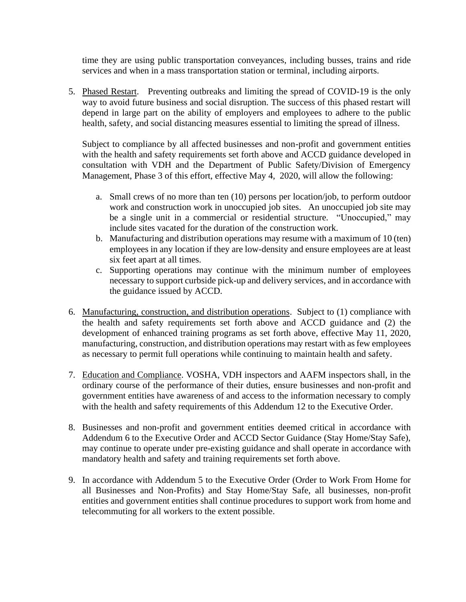time they are using public transportation conveyances, including busses, trains and ride services and when in a mass transportation station or terminal, including airports.

5. Phased Restart. Preventing outbreaks and limiting the spread of COVID-19 is the only way to avoid future business and social disruption. The success of this phased restart will depend in large part on the ability of employers and employees to adhere to the public health, safety, and social distancing measures essential to limiting the spread of illness.

Subject to compliance by all affected businesses and non-profit and government entities with the health and safety requirements set forth above and ACCD guidance developed in consultation with VDH and the Department of Public Safety/Division of Emergency Management, Phase 3 of this effort, effective May 4, 2020, will allow the following:

- a. Small crews of no more than ten (10) persons per location/job, to perform outdoor work and construction work in unoccupied job sites. An unoccupied job site may be a single unit in a commercial or residential structure. "Unoccupied," may include sites vacated for the duration of the construction work.
- b. Manufacturing and distribution operations may resume with a maximum of 10 (ten) employees in any location if they are low-density and ensure employees are at least six feet apart at all times.
- c. Supporting operations may continue with the minimum number of employees necessary to support curbside pick-up and delivery services, and in accordance with the guidance issued by ACCD.
- 6. Manufacturing, construction, and distribution operations. Subject to (1) compliance with the health and safety requirements set forth above and ACCD guidance and (2) the development of enhanced training programs as set forth above, effective May 11, 2020, manufacturing, construction, and distribution operations may restart with as few employees as necessary to permit full operations while continuing to maintain health and safety.
- 7. Education and Compliance. VOSHA, VDH inspectors and AAFM inspectors shall, in the ordinary course of the performance of their duties, ensure businesses and non-profit and government entities have awareness of and access to the information necessary to comply with the health and safety requirements of this Addendum 12 to the Executive Order.
- 8. Businesses and non-profit and government entities deemed critical in accordance with Addendum 6 to the Executive Order and ACCD Sector Guidance (Stay Home/Stay Safe), may continue to operate under pre-existing guidance and shall operate in accordance with mandatory health and safety and training requirements set forth above.
- 9. In accordance with Addendum 5 to the Executive Order (Order to Work From Home for all Businesses and Non-Profits) and Stay Home/Stay Safe, all businesses, non-profit entities and government entities shall continue procedures to support work from home and telecommuting for all workers to the extent possible.